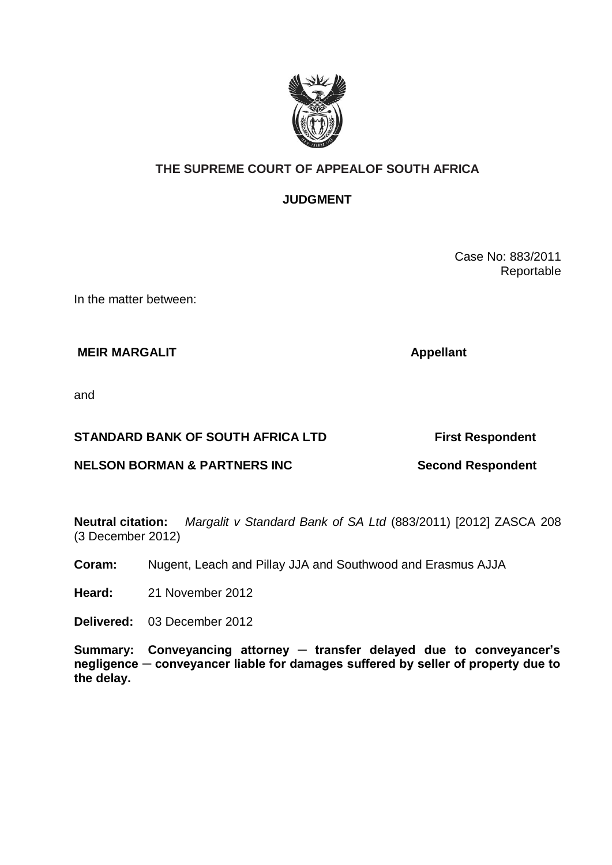

## **THE SUPREME COURT OF APPEALOF SOUTH AFRICA**

## **JUDGMENT**

Case No: 883/2011 Reportable

In the matter between:

**MEIR MARGALIT Appellant** 

and

### **STANDARD BANK OF SOUTH AFRICA LTD First Respondent**

# **NELSON BORMAN & PARTNERS INC Second Respondent**

**Neutral citation:** *Margalit v Standard Bank of SA Ltd* (883/2011) [2012] ZASCA 208 (3 December 2012)

**Coram:** Nugent, Leach and Pillay JJA and Southwood and Erasmus AJJA

**Heard:** 21 November 2012

**Delivered:** 03 December 2012

**Summary: Conveyancing attorney ─ transfer delayed due to conveyancer's negligence ─ conveyancer liable for damages suffered by seller of property due to the delay.**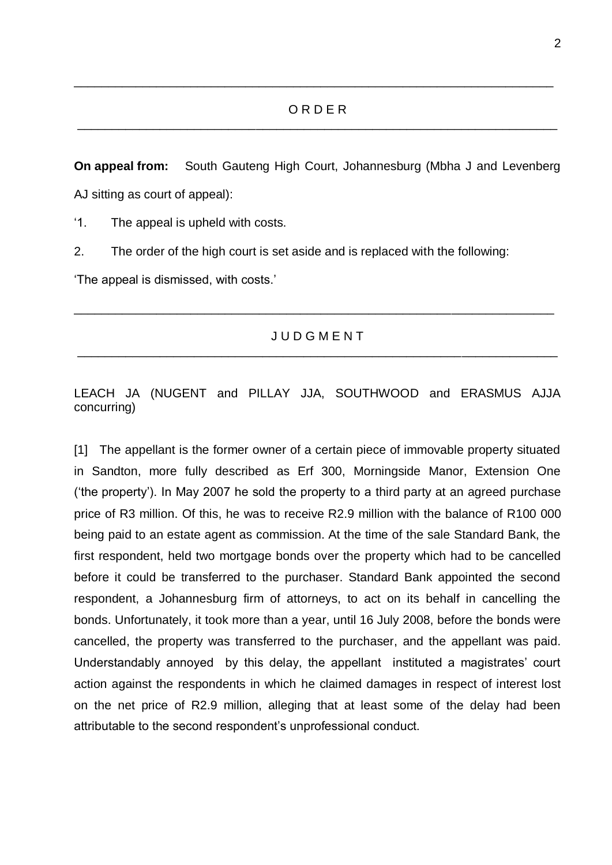#### O R D E R \_\_\_\_\_\_\_\_\_\_\_\_\_\_\_\_\_\_\_\_\_\_\_\_\_\_\_\_\_\_\_\_\_\_\_\_\_\_\_\_\_\_\_\_\_\_\_\_\_\_\_\_\_\_\_\_\_\_\_\_\_\_\_\_\_\_\_\_\_\_

\_\_\_\_\_\_\_\_\_\_\_\_\_\_\_\_\_\_\_\_\_\_\_\_\_\_\_\_\_\_\_\_\_\_\_\_\_\_\_\_\_\_\_\_\_\_\_\_\_\_\_\_\_\_\_\_\_\_\_\_\_\_\_\_\_\_\_\_\_\_

**On appeal from:** South Gauteng High Court, Johannesburg (Mbha J and Levenberg AJ sitting as court of appeal):

'1. The appeal is upheld with costs.

2. The order of the high court is set aside and is replaced with the following:

'The appeal is dismissed, with costs.'

### **J U D G M E N T** \_\_\_\_\_\_\_\_\_\_\_\_\_\_\_\_\_\_\_\_\_\_\_\_\_\_\_\_\_\_\_\_\_\_\_\_\_\_\_\_\_\_\_\_\_\_\_\_\_\_\_\_\_\_\_\_\_\_\_\_\_\_\_\_\_\_\_\_\_\_

\_\_\_\_\_\_\_\_\_\_\_\_\_\_\_\_\_\_\_\_\_\_\_\_\_\_\_\_\_\_\_\_\_\_\_\_\_\_\_\_\_\_\_\_\_\_\_\_\_\_\_\_\_\_\_\_\_\_\_\_\_\_\_\_\_\_\_\_\_\_

### LEACH JA (NUGENT and PILLAY JJA, SOUTHWOOD and ERASMUS AJJA concurring)

[1] The appellant is the former owner of a certain piece of immovable property situated in Sandton, more fully described as Erf 300, Morningside Manor, Extension One ('the property'). In May 2007 he sold the property to a third party at an agreed purchase price of R3 million. Of this, he was to receive R2.9 million with the balance of R100 000 being paid to an estate agent as commission. At the time of the sale Standard Bank, the first respondent, held two mortgage bonds over the property which had to be cancelled before it could be transferred to the purchaser. Standard Bank appointed the second respondent, a Johannesburg firm of attorneys, to act on its behalf in cancelling the bonds. Unfortunately, it took more than a year, until 16 July 2008, before the bonds were cancelled, the property was transferred to the purchaser, and the appellant was paid. Understandably annoyed by this delay, the appellant instituted a magistrates' court action against the respondents in which he claimed damages in respect of interest lost on the net price of R2.9 million, alleging that at least some of the delay had been attributable to the second respondent's unprofessional conduct.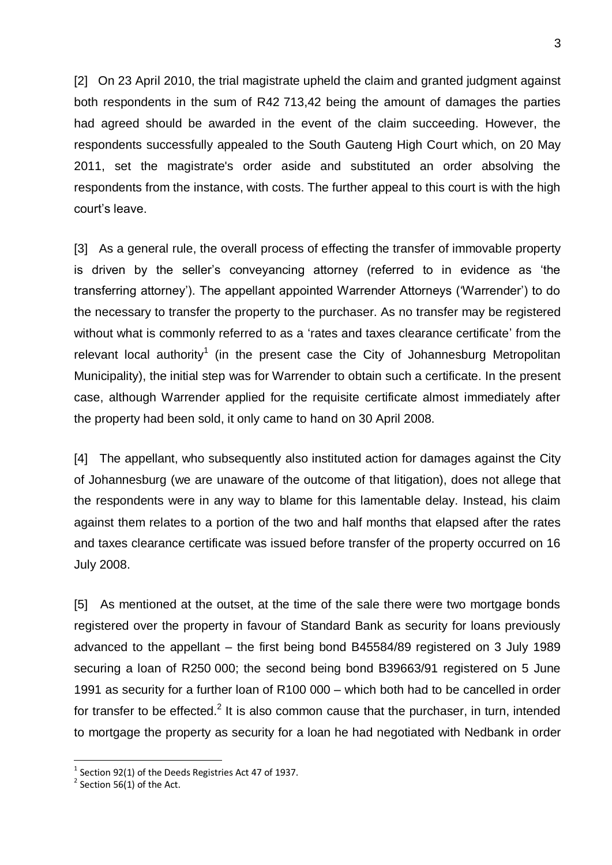[2] On 23 April 2010, the trial magistrate upheld the claim and granted judgment against both respondents in the sum of R42 713,42 being the amount of damages the parties had agreed should be awarded in the event of the claim succeeding. However, the respondents successfully appealed to the South Gauteng High Court which, on 20 May 2011, set the magistrate's order aside and substituted an order absolving the respondents from the instance, with costs. The further appeal to this court is with the high court's leave.

[3] As a general rule, the overall process of effecting the transfer of immovable property is driven by the seller's conveyancing attorney (referred to in evidence as 'the transferring attorney'). The appellant appointed Warrender Attorneys ('Warrender') to do the necessary to transfer the property to the purchaser. As no transfer may be registered without what is commonly referred to as a 'rates and taxes clearance certificate' from the relevant local authority<sup>1</sup> (in the present case the City of Johannesburg Metropolitan Municipality), the initial step was for Warrender to obtain such a certificate. In the present case, although Warrender applied for the requisite certificate almost immediately after the property had been sold, it only came to hand on 30 April 2008.

[4] The appellant, who subsequently also instituted action for damages against the City of Johannesburg (we are unaware of the outcome of that litigation), does not allege that the respondents were in any way to blame for this lamentable delay. Instead, his claim against them relates to a portion of the two and half months that elapsed after the rates and taxes clearance certificate was issued before transfer of the property occurred on 16 July 2008.

[5] As mentioned at the outset, at the time of the sale there were two mortgage bonds registered over the property in favour of Standard Bank as security for loans previously advanced to the appellant – the first being bond B45584/89 registered on 3 July 1989 securing a loan of R250 000; the second being bond B39663/91 registered on 5 June 1991 as security for a further loan of R100 000 – which both had to be cancelled in order for transfer to be effected.<sup>2</sup> It is also common cause that the purchaser, in turn, intended to mortgage the property as security for a loan he had negotiated with Nedbank in order

<u>.</u>

 $1$  Section 92(1) of the Deeds Registries Act 47 of 1937.

 $2$  Section 56(1) of the Act.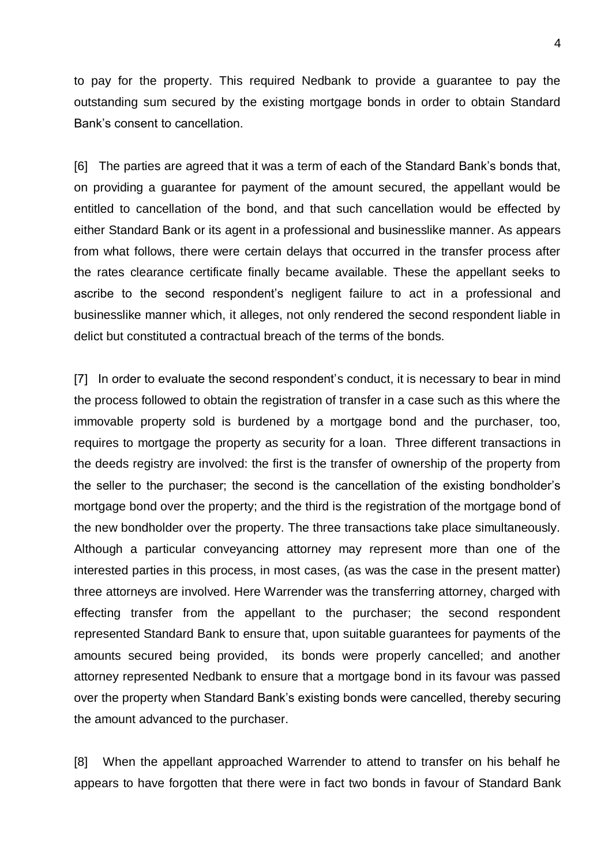to pay for the property. This required Nedbank to provide a guarantee to pay the outstanding sum secured by the existing mortgage bonds in order to obtain Standard Bank's consent to cancellation.

[6] The parties are agreed that it was a term of each of the Standard Bank's bonds that, on providing a guarantee for payment of the amount secured, the appellant would be entitled to cancellation of the bond, and that such cancellation would be effected by either Standard Bank or its agent in a professional and businesslike manner. As appears from what follows, there were certain delays that occurred in the transfer process after the rates clearance certificate finally became available. These the appellant seeks to ascribe to the second respondent's negligent failure to act in a professional and businesslike manner which, it alleges, not only rendered the second respondent liable in delict but constituted a contractual breach of the terms of the bonds.

[7] In order to evaluate the second respondent's conduct, it is necessary to bear in mind the process followed to obtain the registration of transfer in a case such as this where the immovable property sold is burdened by a mortgage bond and the purchaser, too, requires to mortgage the property as security for a loan. Three different transactions in the deeds registry are involved: the first is the transfer of ownership of the property from the seller to the purchaser; the second is the cancellation of the existing bondholder's mortgage bond over the property; and the third is the registration of the mortgage bond of the new bondholder over the property. The three transactions take place simultaneously. Although a particular conveyancing attorney may represent more than one of the interested parties in this process, in most cases, (as was the case in the present matter) three attorneys are involved. Here Warrender was the transferring attorney, charged with effecting transfer from the appellant to the purchaser; the second respondent represented Standard Bank to ensure that, upon suitable guarantees for payments of the amounts secured being provided, its bonds were properly cancelled; and another attorney represented Nedbank to ensure that a mortgage bond in its favour was passed over the property when Standard Bank's existing bonds were cancelled, thereby securing the amount advanced to the purchaser.

[8] When the appellant approached Warrender to attend to transfer on his behalf he appears to have forgotten that there were in fact two bonds in favour of Standard Bank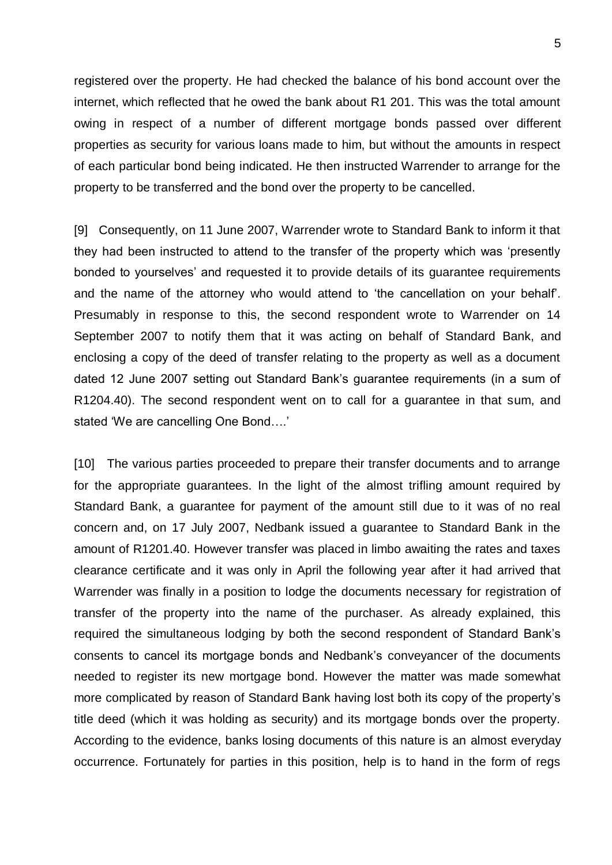registered over the property. He had checked the balance of his bond account over the internet, which reflected that he owed the bank about R1 201. This was the total amount owing in respect of a number of different mortgage bonds passed over different properties as security for various loans made to him, but without the amounts in respect of each particular bond being indicated. He then instructed Warrender to arrange for the property to be transferred and the bond over the property to be cancelled.

[9] Consequently, on 11 June 2007, Warrender wrote to Standard Bank to inform it that they had been instructed to attend to the transfer of the property which was 'presently bonded to yourselves' and requested it to provide details of its guarantee requirements and the name of the attorney who would attend to 'the cancellation on your behalf'. Presumably in response to this, the second respondent wrote to Warrender on 14 September 2007 to notify them that it was acting on behalf of Standard Bank, and enclosing a copy of the deed of transfer relating to the property as well as a document dated 12 June 2007 setting out Standard Bank's guarantee requirements (in a sum of R1204.40). The second respondent went on to call for a guarantee in that sum, and stated 'We are cancelling One Bond….'

[10] The various parties proceeded to prepare their transfer documents and to arrange for the appropriate guarantees. In the light of the almost trifling amount required by Standard Bank, a guarantee for payment of the amount still due to it was of no real concern and, on 17 July 2007, Nedbank issued a guarantee to Standard Bank in the amount of R1201.40. However transfer was placed in limbo awaiting the rates and taxes clearance certificate and it was only in April the following year after it had arrived that Warrender was finally in a position to lodge the documents necessary for registration of transfer of the property into the name of the purchaser. As already explained, this required the simultaneous lodging by both the second respondent of Standard Bank's consents to cancel its mortgage bonds and Nedbank's conveyancer of the documents needed to register its new mortgage bond. However the matter was made somewhat more complicated by reason of Standard Bank having lost both its copy of the property's title deed (which it was holding as security) and its mortgage bonds over the property. According to the evidence, banks losing documents of this nature is an almost everyday occurrence. Fortunately for parties in this position, help is to hand in the form of regs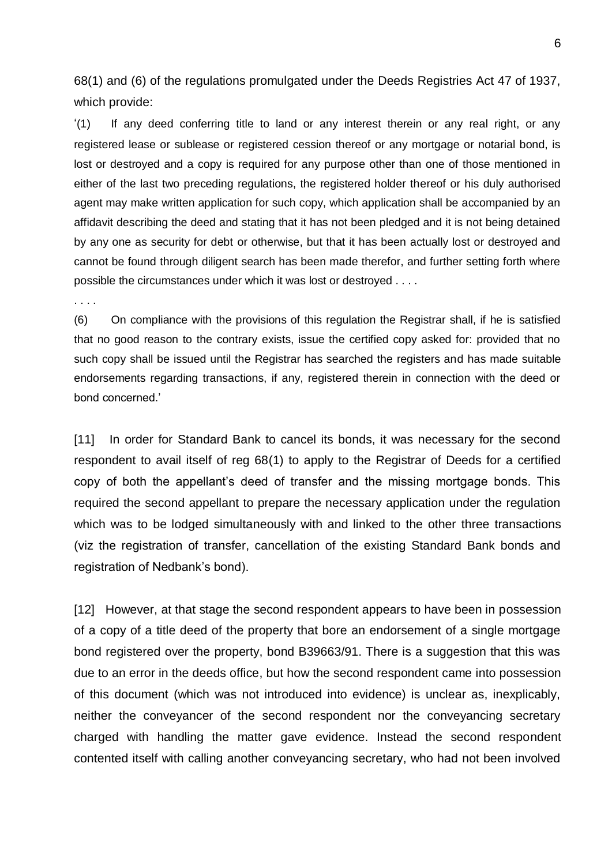68(1) and (6) of the regulations promulgated under the Deeds Registries Act 47 of 1937, which provide:

'(1) If any deed conferring title to land or any interest therein or any real right, or any registered lease or sublease or registered cession thereof or any mortgage or notarial bond, is lost or destroyed and a copy is required for any purpose other than one of those mentioned in either of the last two preceding regulations, the registered holder thereof or his duly authorised agent may make written application for such copy, which application shall be accompanied by an affidavit describing the deed and stating that it has not been pledged and it is not being detained by any one as security for debt or otherwise, but that it has been actually lost or destroyed and cannot be found through diligent search has been made therefor, and further setting forth where possible the circumstances under which it was lost or destroyed . . . .

. . . .

(6) On compliance with the provisions of this regulation the Registrar shall, if he is satisfied that no good reason to the contrary exists, issue the certified copy asked for: provided that no such copy shall be issued until the Registrar has searched the registers and has made suitable endorsements regarding transactions, if any, registered therein in connection with the deed or bond concerned.'

[11] In order for Standard Bank to cancel its bonds, it was necessary for the second respondent to avail itself of reg 68(1) to apply to the Registrar of Deeds for a certified copy of both the appellant's deed of transfer and the missing mortgage bonds. This required the second appellant to prepare the necessary application under the regulation which was to be lodged simultaneously with and linked to the other three transactions (viz the registration of transfer, cancellation of the existing Standard Bank bonds and registration of Nedbank's bond).

[12] However, at that stage the second respondent appears to have been in possession of a copy of a title deed of the property that bore an endorsement of a single mortgage bond registered over the property, bond B39663/91. There is a suggestion that this was due to an error in the deeds office, but how the second respondent came into possession of this document (which was not introduced into evidence) is unclear as, inexplicably, neither the conveyancer of the second respondent nor the conveyancing secretary charged with handling the matter gave evidence. Instead the second respondent contented itself with calling another conveyancing secretary, who had not been involved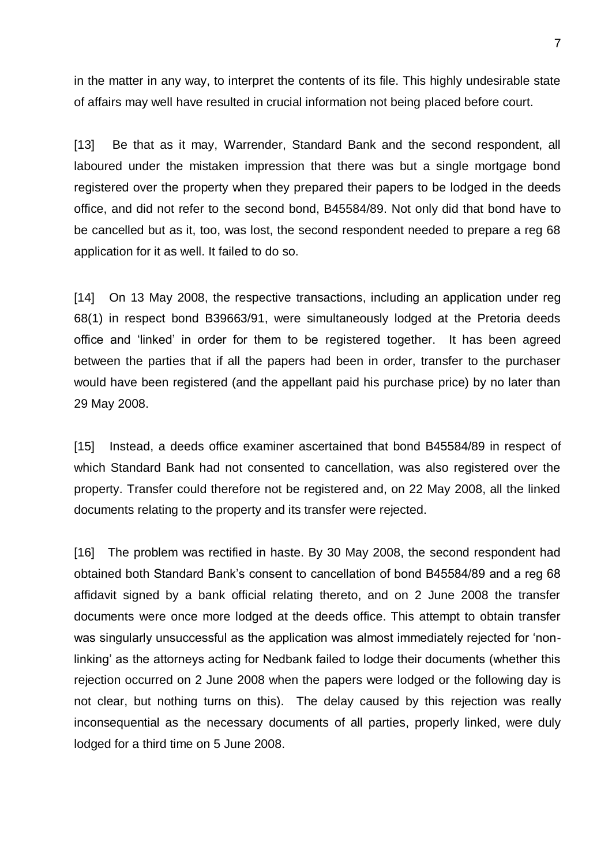in the matter in any way, to interpret the contents of its file. This highly undesirable state of affairs may well have resulted in crucial information not being placed before court.

[13] Be that as it may, Warrender, Standard Bank and the second respondent, all laboured under the mistaken impression that there was but a single mortgage bond registered over the property when they prepared their papers to be lodged in the deeds office, and did not refer to the second bond, B45584/89. Not only did that bond have to be cancelled but as it, too, was lost, the second respondent needed to prepare a reg 68 application for it as well. It failed to do so.

[14] On 13 May 2008, the respective transactions, including an application under reg 68(1) in respect bond B39663/91, were simultaneously lodged at the Pretoria deeds office and 'linked' in order for them to be registered together. It has been agreed between the parties that if all the papers had been in order, transfer to the purchaser would have been registered (and the appellant paid his purchase price) by no later than 29 May 2008.

[15] Instead, a deeds office examiner ascertained that bond B45584/89 in respect of which Standard Bank had not consented to cancellation, was also registered over the property. Transfer could therefore not be registered and, on 22 May 2008, all the linked documents relating to the property and its transfer were rejected.

[16] The problem was rectified in haste. By 30 May 2008, the second respondent had obtained both Standard Bank's consent to cancellation of bond B45584/89 and a reg 68 affidavit signed by a bank official relating thereto, and on 2 June 2008 the transfer documents were once more lodged at the deeds office. This attempt to obtain transfer was singularly unsuccessful as the application was almost immediately rejected for 'nonlinking' as the attorneys acting for Nedbank failed to lodge their documents (whether this rejection occurred on 2 June 2008 when the papers were lodged or the following day is not clear, but nothing turns on this). The delay caused by this rejection was really inconsequential as the necessary documents of all parties, properly linked, were duly lodged for a third time on 5 June 2008.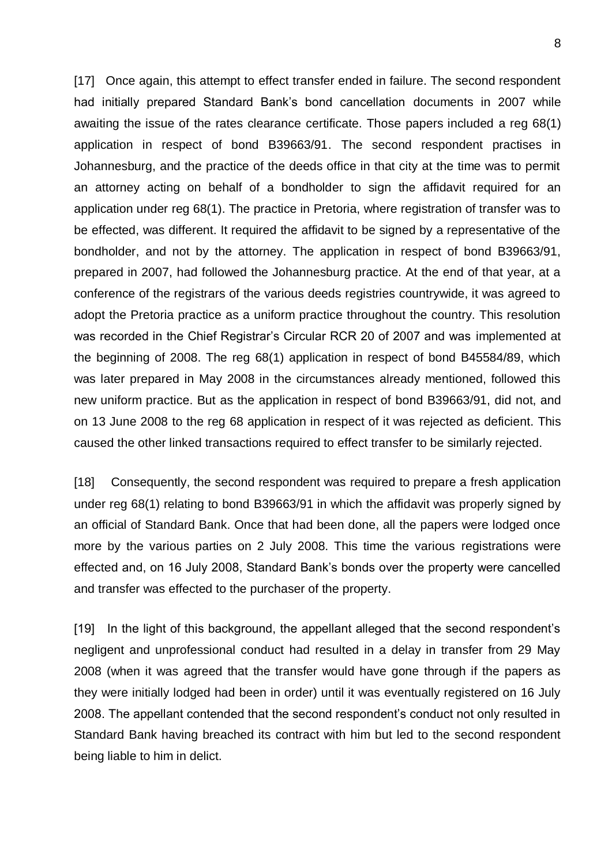[17] Once again, this attempt to effect transfer ended in failure. The second respondent had initially prepared Standard Bank's bond cancellation documents in 2007 while awaiting the issue of the rates clearance certificate. Those papers included a reg 68(1) application in respect of bond B39663/91. The second respondent practises in Johannesburg, and the practice of the deeds office in that city at the time was to permit an attorney acting on behalf of a bondholder to sign the affidavit required for an application under reg 68(1). The practice in Pretoria, where registration of transfer was to be effected, was different. It required the affidavit to be signed by a representative of the bondholder, and not by the attorney. The application in respect of bond B39663/91, prepared in 2007, had followed the Johannesburg practice. At the end of that year, at a conference of the registrars of the various deeds registries countrywide, it was agreed to adopt the Pretoria practice as a uniform practice throughout the country. This resolution was recorded in the Chief Registrar's Circular RCR 20 of 2007 and was implemented at the beginning of 2008. The reg 68(1) application in respect of bond B45584/89, which was later prepared in May 2008 in the circumstances already mentioned, followed this new uniform practice. But as the application in respect of bond B39663/91, did not, and on 13 June 2008 to the reg 68 application in respect of it was rejected as deficient. This caused the other linked transactions required to effect transfer to be similarly rejected.

[18] Consequently, the second respondent was required to prepare a fresh application under reg 68(1) relating to bond B39663/91 in which the affidavit was properly signed by an official of Standard Bank. Once that had been done, all the papers were lodged once more by the various parties on 2 July 2008. This time the various registrations were effected and, on 16 July 2008, Standard Bank's bonds over the property were cancelled and transfer was effected to the purchaser of the property.

[19] In the light of this background, the appellant alleged that the second respondent's negligent and unprofessional conduct had resulted in a delay in transfer from 29 May 2008 (when it was agreed that the transfer would have gone through if the papers as they were initially lodged had been in order) until it was eventually registered on 16 July 2008. The appellant contended that the second respondent's conduct not only resulted in Standard Bank having breached its contract with him but led to the second respondent being liable to him in delict.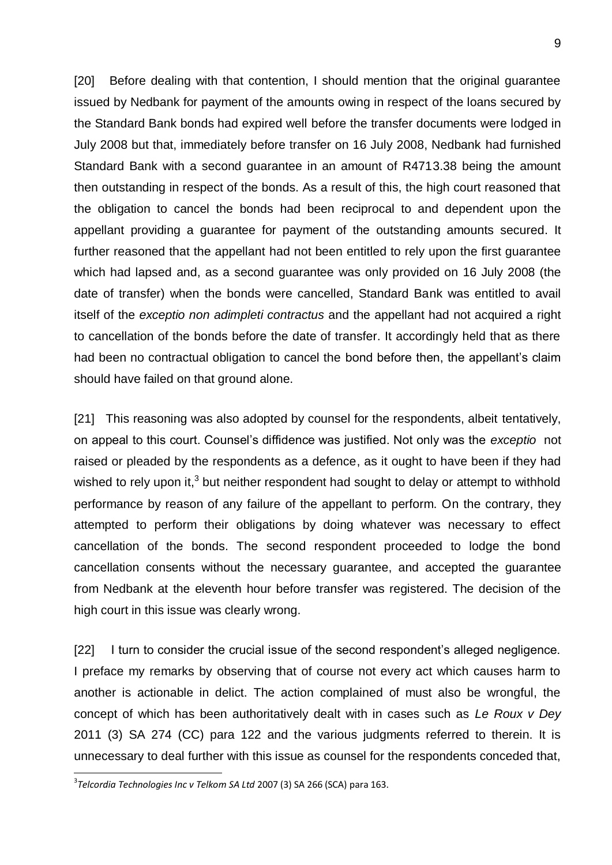[20] Before dealing with that contention, I should mention that the original guarantee issued by Nedbank for payment of the amounts owing in respect of the loans secured by the Standard Bank bonds had expired well before the transfer documents were lodged in July 2008 but that, immediately before transfer on 16 July 2008, Nedbank had furnished Standard Bank with a second guarantee in an amount of R4713.38 being the amount then outstanding in respect of the bonds. As a result of this, the high court reasoned that the obligation to cancel the bonds had been reciprocal to and dependent upon the appellant providing a guarantee for payment of the outstanding amounts secured. It further reasoned that the appellant had not been entitled to rely upon the first guarantee which had lapsed and, as a second guarantee was only provided on 16 July 2008 (the date of transfer) when the bonds were cancelled, Standard Bank was entitled to avail itself of the *exceptio non adimpleti contractus* and the appellant had not acquired a right to cancellation of the bonds before the date of transfer. It accordingly held that as there had been no contractual obligation to cancel the bond before then, the appellant's claim should have failed on that ground alone.

[21] This reasoning was also adopted by counsel for the respondents, albeit tentatively, on appeal to this court. Counsel's diffidence was justified. Not only was the *exceptio* not raised or pleaded by the respondents as a defence, as it ought to have been if they had wished to rely upon it, $3$  but neither respondent had sought to delay or attempt to withhold performance by reason of any failure of the appellant to perform. On the contrary, they attempted to perform their obligations by doing whatever was necessary to effect cancellation of the bonds. The second respondent proceeded to lodge the bond cancellation consents without the necessary guarantee, and accepted the guarantee from Nedbank at the eleventh hour before transfer was registered. The decision of the high court in this issue was clearly wrong.

[22] I turn to consider the crucial issue of the second respondent's alleged negligence. I preface my remarks by observing that of course not every act which causes harm to another is actionable in delict. The action complained of must also be wrongful, the concept of which has been authoritatively dealt with in cases such as *Le Roux v Dey*  2011 (3) SA 274 (CC) para 122 and the various judgments referred to therein. It is unnecessary to deal further with this issue as counsel for the respondents conceded that,

1

<sup>3</sup> *Telcordia Technologies Inc v Telkom SA Ltd* 2007 (3) SA 266 (SCA) para 163.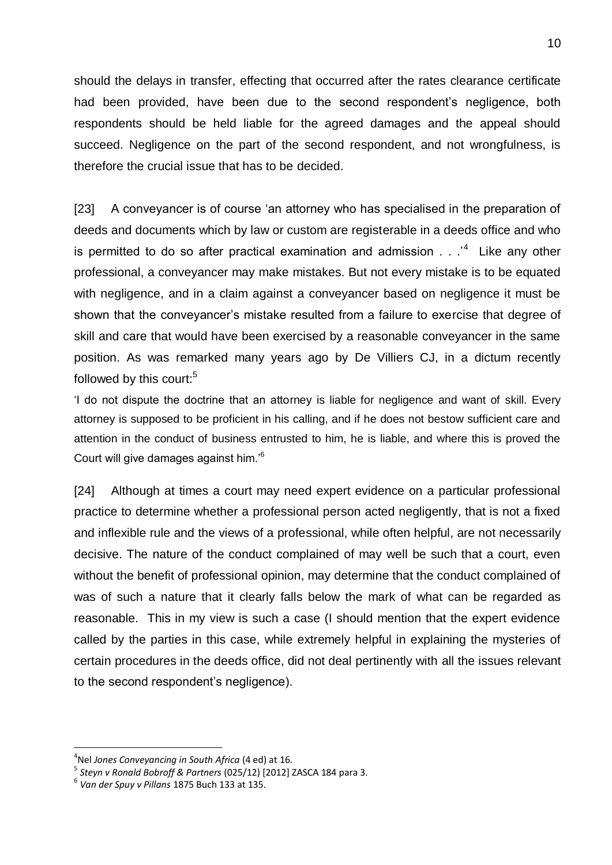should the delays in transfer, effecting that occurred after the rates clearance certificate had been provided, have been due to the second respondent's negligence, both respondents should be held liable for the agreed damages and the appeal should succeed. Negligence on the part of the second respondent, and not wrongfulness, is therefore the crucial issue that has to be decided.

[23] A conveyancer is of course 'an attorney who has specialised in the preparation of deeds and documents which by law or custom are registerable in a deeds office and who is permitted to do so after practical examination and admission  $\dots$ <sup>4</sup> Like any other professional, a conveyancer may make mistakes. But not every mistake is to be equated with negligence, and in a claim against a conveyancer based on negligence it must be shown that the conveyancer's mistake resulted from a failure to exercise that degree of skill and care that would have been exercised by a reasonable conveyancer in the same position. As was remarked many years ago by De Villiers CJ, in a dictum recently followed by this court: $5$ 

'I do not dispute the doctrine that an attorney is liable for negligence and want of skill. Every attorney is supposed to be proficient in his calling, and if he does not bestow sufficient care and attention in the conduct of business entrusted to him, he is liable, and where this is proved the Court will give damages against him.'<sup>6</sup>

[24] Although at times a court may need expert evidence on a particular professional practice to determine whether a professional person acted negligently, that is not a fixed and inflexible rule and the views of a professional, while often helpful, are not necessarily decisive. The nature of the conduct complained of may well be such that a court, even without the benefit of professional opinion, may determine that the conduct complained of was of such a nature that it clearly falls below the mark of what can be regarded as reasonable. This in my view is such a case (I should mention that the expert evidence called by the parties in this case, while extremely helpful in explaining the mysteries of certain procedures in the deeds office, did not deal pertinently with all the issues relevant to the second respondent's negligence).

1

<sup>4</sup> Nel *Jones Conveyancing in South Africa* (4 ed) at 16.

<sup>5</sup> *Steyn v Ronald Bobroff & Partners* (025/12) [2012] ZASCA 184 para 3.

<sup>6</sup> *Van der Spuy v Pillans* 1875 Buch 133 at 135.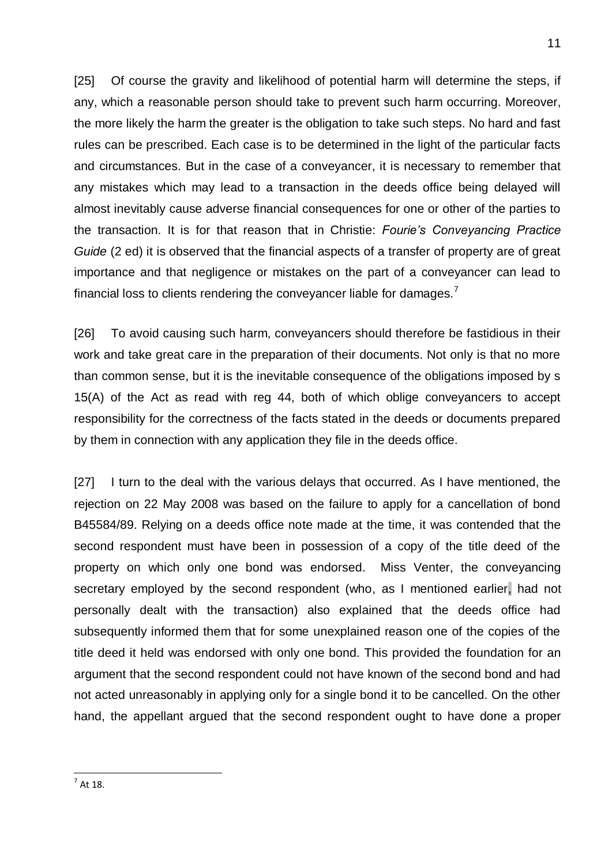[25] Of course the gravity and likelihood of potential harm will determine the steps, if any, which a reasonable person should take to prevent such harm occurring. Moreover, the more likely the harm the greater is the obligation to take such steps. No hard and fast rules can be prescribed. Each case is to be determined in the light of the particular facts and circumstances. But in the case of a conveyancer, it is necessary to remember that any mistakes which may lead to a transaction in the deeds office being delayed will almost inevitably cause adverse financial consequences for one or other of the parties to the transaction. It is for that reason that in Christie: *Fourie's Conveyancing Practice Guide* (2 ed) it is observed that the financial aspects of a transfer of property are of great importance and that negligence or mistakes on the part of a conveyancer can lead to financial loss to clients rendering the conveyancer liable for damages.<sup>7</sup>

[26] To avoid causing such harm, conveyancers should therefore be fastidious in their work and take great care in the preparation of their documents. Not only is that no more than common sense, but it is the inevitable consequence of the obligations imposed by s 15(A) of the Act as read with reg 44, both of which oblige conveyancers to accept responsibility for the correctness of the facts stated in the deeds or documents prepared by them in connection with any application they file in the deeds office.

[27] I turn to the deal with the various delays that occurred. As I have mentioned, the rejection on 22 May 2008 was based on the failure to apply for a cancellation of bond B45584/89. Relying on a deeds office note made at the time, it was contended that the second respondent must have been in possession of a copy of the title deed of the property on which only one bond was endorsed. Miss Venter, the conveyancing secretary employed by the second respondent (who, as I mentioned earlier, had not personally dealt with the transaction) also explained that the deeds office had subsequently informed them that for some unexplained reason one of the copies of the title deed it held was endorsed with only one bond. This provided the foundation for an argument that the second respondent could not have known of the second bond and had not acted unreasonably in applying only for a single bond it to be cancelled. On the other hand, the appellant argued that the second respondent ought to have done a proper

 $\frac{1}{10}$  At 18.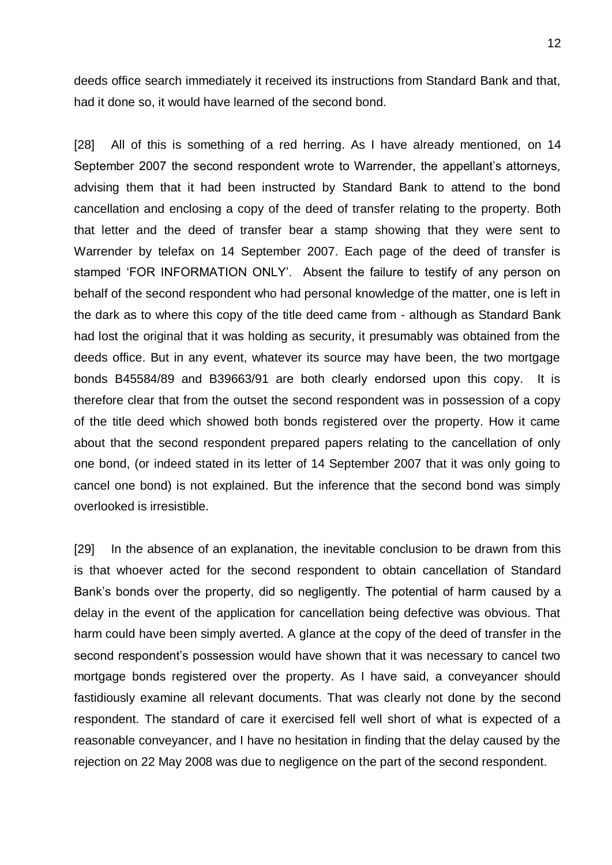deeds office search immediately it received its instructions from Standard Bank and that, had it done so, it would have learned of the second bond.

[28] All of this is something of a red herring. As I have already mentioned, on 14 September 2007 the second respondent wrote to Warrender, the appellant's attorneys, advising them that it had been instructed by Standard Bank to attend to the bond cancellation and enclosing a copy of the deed of transfer relating to the property. Both that letter and the deed of transfer bear a stamp showing that they were sent to Warrender by telefax on 14 September 2007. Each page of the deed of transfer is stamped 'FOR INFORMATION ONLY'. Absent the failure to testify of any person on behalf of the second respondent who had personal knowledge of the matter, one is left in the dark as to where this copy of the title deed came from - although as Standard Bank had lost the original that it was holding as security, it presumably was obtained from the deeds office. But in any event, whatever its source may have been, the two mortgage bonds B45584/89 and B39663/91 are both clearly endorsed upon this copy. It is therefore clear that from the outset the second respondent was in possession of a copy of the title deed which showed both bonds registered over the property. How it came about that the second respondent prepared papers relating to the cancellation of only one bond, (or indeed stated in its letter of 14 September 2007 that it was only going to cancel one bond) is not explained. But the inference that the second bond was simply overlooked is irresistible.

[29] In the absence of an explanation, the inevitable conclusion to be drawn from this is that whoever acted for the second respondent to obtain cancellation of Standard Bank's bonds over the property, did so negligently. The potential of harm caused by a delay in the event of the application for cancellation being defective was obvious. That harm could have been simply averted. A glance at the copy of the deed of transfer in the second respondent's possession would have shown that it was necessary to cancel two mortgage bonds registered over the property. As I have said, a conveyancer should fastidiously examine all relevant documents. That was clearly not done by the second respondent. The standard of care it exercised fell well short of what is expected of a reasonable conveyancer, and I have no hesitation in finding that the delay caused by the rejection on 22 May 2008 was due to negligence on the part of the second respondent.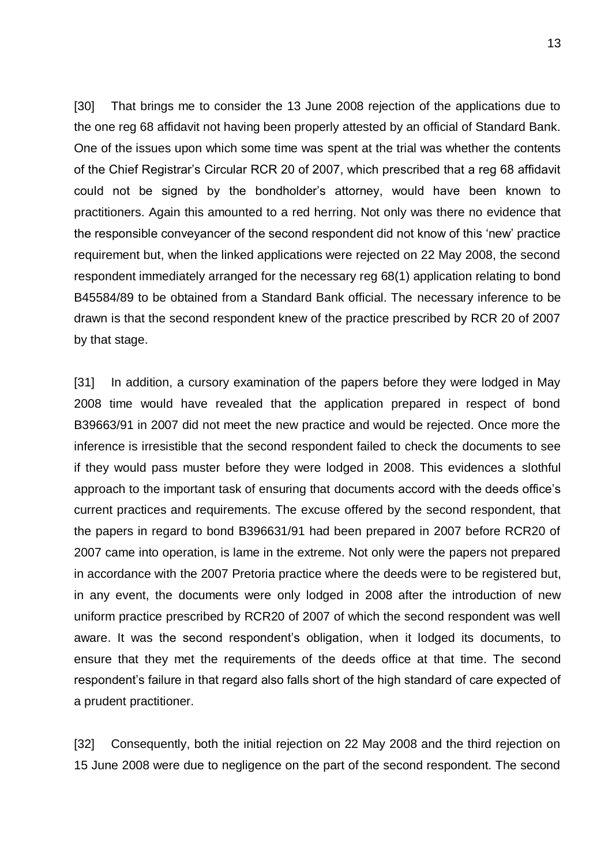[30] That brings me to consider the 13 June 2008 rejection of the applications due to the one reg 68 affidavit not having been properly attested by an official of Standard Bank. One of the issues upon which some time was spent at the trial was whether the contents of the Chief Registrar's Circular RCR 20 of 2007, which prescribed that a reg 68 affidavit could not be signed by the bondholder's attorney, would have been known to practitioners. Again this amounted to a red herring. Not only was there no evidence that the responsible conveyancer of the second respondent did not know of this 'new' practice requirement but, when the linked applications were rejected on 22 May 2008, the second respondent immediately arranged for the necessary reg 68(1) application relating to bond B45584/89 to be obtained from a Standard Bank official. The necessary inference to be drawn is that the second respondent knew of the practice prescribed by RCR 20 of 2007 by that stage.

[31] In addition, a cursory examination of the papers before they were lodged in May 2008 time would have revealed that the application prepared in respect of bond B39663/91 in 2007 did not meet the new practice and would be rejected. Once more the inference is irresistible that the second respondent failed to check the documents to see if they would pass muster before they were lodged in 2008. This evidences a slothful approach to the important task of ensuring that documents accord with the deeds office's current practices and requirements. The excuse offered by the second respondent, that the papers in regard to bond B396631/91 had been prepared in 2007 before RCR20 of 2007 came into operation, is lame in the extreme. Not only were the papers not prepared in accordance with the 2007 Pretoria practice where the deeds were to be registered but, in any event, the documents were only lodged in 2008 after the introduction of new uniform practice prescribed by RCR20 of 2007 of which the second respondent was well aware. It was the second respondent's obligation, when it lodged its documents, to ensure that they met the requirements of the deeds office at that time. The second respondent's failure in that regard also falls short of the high standard of care expected of a prudent practitioner.

[32] Consequently, both the initial rejection on 22 May 2008 and the third rejection on 15 June 2008 were due to negligence on the part of the second respondent. The second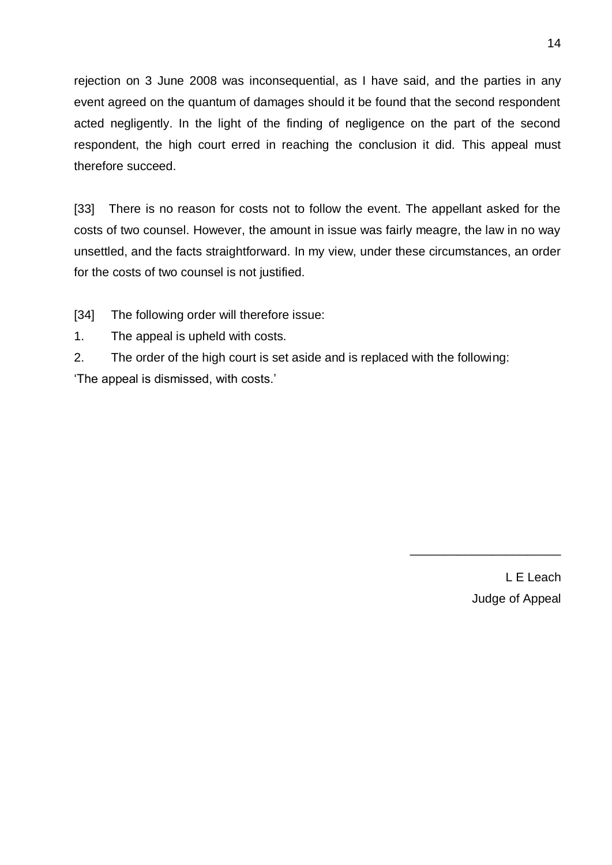rejection on 3 June 2008 was inconsequential, as I have said, and the parties in any event agreed on the quantum of damages should it be found that the second respondent acted negligently. In the light of the finding of negligence on the part of the second respondent, the high court erred in reaching the conclusion it did. This appeal must therefore succeed.

[33] There is no reason for costs not to follow the event. The appellant asked for the costs of two counsel. However, the amount in issue was fairly meagre, the law in no way unsettled, and the facts straightforward. In my view, under these circumstances, an order for the costs of two counsel is not justified.

[34] The following order will therefore issue:

- 1. The appeal is upheld with costs.
- 2. The order of the high court is set aside and is replaced with the following:

'The appeal is dismissed, with costs.'

L E Leach Judge of Appeal

\_\_\_\_\_\_\_\_\_\_\_\_\_\_\_\_\_\_\_\_\_\_